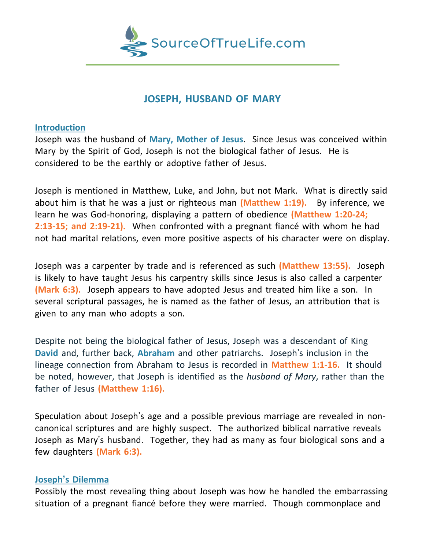

## **JOSEPH, HUSBAND OF MARY**

## **Introduction**

Joseph was the husband of **Mary, Mother of Jesus**. Since Jesus was conceived within Mary by the Spirit of God, Joseph is not the biological father of Jesus. He is considered to be the earthly or adoptive father of Jesus.

Joseph is mentioned in Matthew, Luke, and John, but not Mark. What is directly said about him is that he was a just or righteous man **(Matthew 1:19).** By inference, we learn he was God-honoring, displaying a pattern of obedience **(Matthew 1:20-24; 2:13-15; and 2:19-21).** When confronted with a pregnant fiancé with whom he had not had marital relations, even more positive aspects of his character were on display.

Joseph was a carpenter by trade and is referenced as such **(Matthew 13:55).** Joseph is likely to have taught Jesus his carpentry skills since Jesus is also called a carpenter **(Mark 6:3).** Joseph appears to have adopted Jesus and treated him like a son. In several scriptural passages, he is named as the father of Jesus, an attribution that is given to any man who adopts a son.

Despite not being the biological father of Jesus, Joseph was a descendant of King **David** and, further back, **Abraham** and other patriarchs. Joseph's inclusion in the lineage connection from Abraham to Jesus is recorded in **Matthew 1:1-16.** It should be noted, however, that Joseph is identified as the *husband of Mary*, rather than the father of Jesus **(Matthew 1:16).**

Speculation about Joseph's age and a possible previous marriage are revealed in noncanonical scriptures and are highly suspect. The authorized biblical narrative reveals Joseph as Mary's husband. Together, they had as many as four biological sons and a few daughters **(Mark 6:3).**

## **Joseph's Dilemma**

Possibly the most revealing thing about Joseph was how he handled the embarrassing situation of a pregnant fiancé before they were married. Though commonplace and